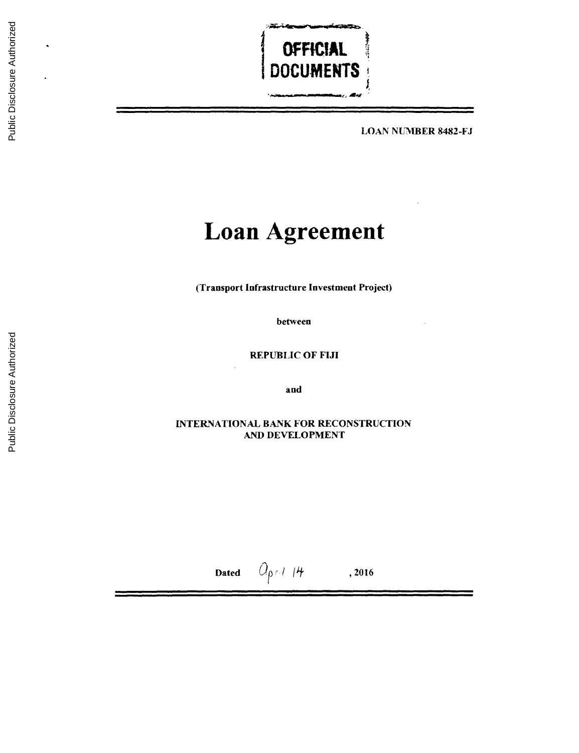

**LOAN** NUMBER **8482-FJ**

# **Loan Agreement**

(Transport Infrastructure Investment Project)

between

REPUBLIC OF **FIJI**

and

**INTERNATIONAL** BANK FOR **RECONSTRUCTION AND DEVELOPMENT**

Dated  $\mathcal{O}_{\rho} \cap I$  |*4* , 2016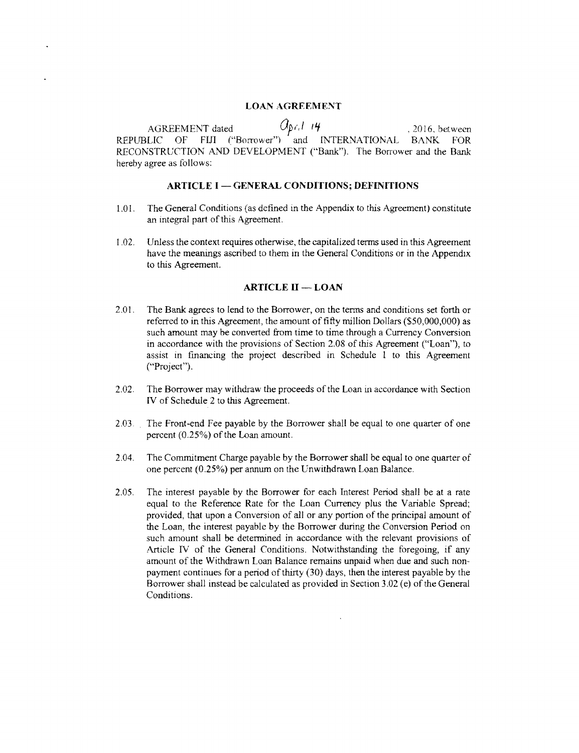# **LOAN AGREEMENT**

AGREEMENT dated  $\mathcal{O}_{\beta\ell_1}l$  14 (2016, between<br>REPUBLIC OF FIJI ("Borrower") and INTERNATIONAL BANK FOR<br>RECONSTRUCTION AND DEVELOPMENT ("Bank"). The Borrower and the Bank<br>hereby agree as follows:

# **ARTICLE I - GENERAL CONDITIONS; DEFINITIONS**

- **1.01.** The General Conditions (as defined in the Appendix to this Agreement) constitute an integral part of this Agreement.
- 1.02. Unless the context requires otherwise, the capitalized terms used in this Agreement have the meanings ascribed to them in the General Conditions or in the Appendix to this Agreement.

## **ARTICLE H - LOAN**

- 2.01. The Bank agrees to lend to the Borrower, on the terms and conditions set forth or referred to in this Agreement, the amount of fifty million Dollars (\$50,000,000) as such amount may be converted from time to time thr in accordance with the provisions of Section **2.08** of this Agreement ("Loan"), to assist in financing the project described in Schedule **I** to this Agreement ("Project").
- 2.02. The Borrower may withdraw the proceeds of the Loan in accordance with Section IV of Schedule 2 to this Agreement.
- **2.03.** The Front-end Fee payable **by** the Borrower shall be equal to one quarter of one percent **(0.25%)** of the Loan amount.
- 2.04. The Commitment Charge payable **by** the Borrower shall be equal to one quarter of one percent **(0.25%)** per annum on the Unwithdrawn Loan Balance.
- **2.05.** The interest payable **by** the Borrower for each Interest Period shall be at a rate equal to the Reference Rate for the Loan Currency plus the Variable Spread;<br>provided, that upon a Conversion of all or any portion of the principal amount of<br>the Loan, the interest payable by the Borrower during the Conver Article IV of the General Conditions. Notwithstanding the foregoing, if any<br>amount of the Withdrawn Loan Balance remains unpaid when due and such non-<br>payment continues for a period of thirty (30) days, then the interest p Borrower shall instead be calculated as provided in Section **3.02** (e) of the General Conditions.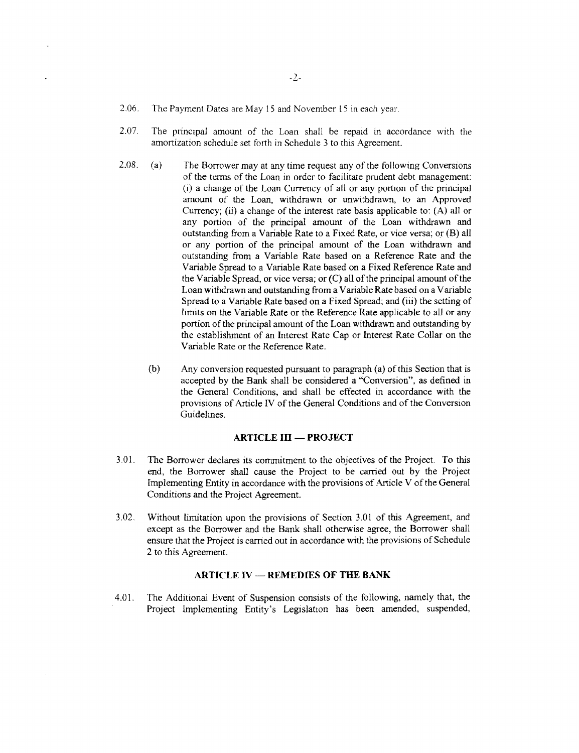- **2.06.** The Payment Dates are May **15** and November **15** in each year.
- **2.07.** The principal amount of the Loan shall be repaid in accordance with the amortization schedule set forth in Schedule **3** to this Agreement.
- **2.08.** (a) The Borrower may at any time request any of the following Conversions (i) a change of the Loan Currency of all or any portion of the principal amount of the Loan, withdrawn or unwithdrawn, to an Approved Currency; (ii) a change of the interest rate basis applicable to: (A) all or any portion of the principal amount of the Loan withdrawn and outstanding from a Variable Rate to a Fixed Rate, or vice versa; or (B) all or any portion of the principal amount of the Loan withdrawn and outstanding from a Variable Rate based on a Reference Rate and the Variable Spread to a Variable Rate based on a Fixed Reference Rate and the Variable Spread, or vice versa; or **(C)** all of the principal amount of the Loan withdrawn and outstanding from a Variable Rate based on a Variable Spread to a Variable Rate based on a Fixed Spread; and (iii) the setting of limits on the Variable Rate or the Reference Rate applicable to all or any portion of the principal amount of the Loan withdrawn and outstanding by<br>the establishment of an Interest Rate Cap or Interest Rate Collar on the Variable Rate or the Reference Rate.
	- **(b)** Any conversion requested pursuant to paragraph (a) of this Section that is accepted **by** the Bank shall be considered a "Conversion", as defined in the General Conditions, and shall be effected in accordance with the provisions of Article **IV** of the General Conditions and of the Conversion Guidelines.

## **ARTICLE III - PROJECT**

- **3.01.** The Borrower declares its commitment to the objectives of the Project. To this end, the Borrower shall cause the Project to be carried out **by** the Project Implementing Entity in accordance with the provisions of Article V of the General Conditions and the Project Agreement.
- **3.02.** Without limitation upon the provisions of Section **3.01** of this Agreement, and except as the Borrower and the Bank shall otherwise agree, the Borrower shall ensure that the Project is carried out in accordance with the provisions of Schedule 2 to this Agreement.

## **ARTICLE IV - REMEDIES OF THE BANK**

4.01. The Additional Event of Suspension consists of the following, namely that, the Project Implementing Entity's Legislation has been amended, suspended,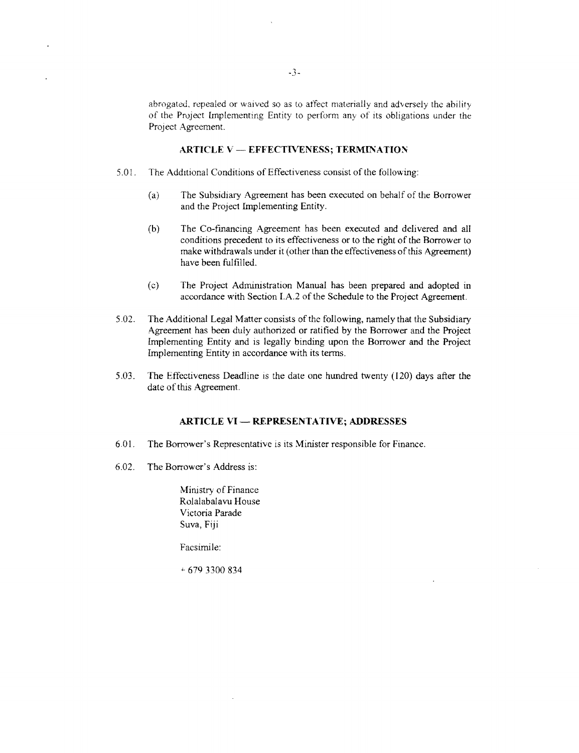abrogated, repealed or waived so as to affect materially and adversely the ability of the Project Implementing Entity to perform any of its obligations under the Project Agreement.

## **ARTICLE V - EFFECTIVENESS; TERMINATION**

- *5.01.* The Additional Conditions of Effectiveness consist of the following:
	- (a) The Subsidiary Agreement has been executed on behalf of the Borrower and the Project Implementing Entity.
	- **(b)** The Co-financing Agreement has been executed and delivered and all conditions precedent to its effectiveness or to the right of the Borrower to make withdrawals under it (other than the effectiveness of this Agreement) have been fulfilled.
	- **(c)** The Project Administration Manual has been prepared and adopted in accordance with Section **I.A.2** of the Schedule to the Project Agreement.
- 5.02. The Additional Legal Matter consists of the following, namely that the Subsidiary Agreement has been duly authorized or ratified by the Borrower and the Project Implementing Entity and is legally binding upon the Bor
- **5.03.** The Effectiveness Deadline is the date one hundred twenty (120) days after the date of this Agreement.

# **ARTICLE VI - REPRESENTATIVE; ADDRESSES**

- **6.01.** The Borrower's Representative is its Minister responsible for Finance.
- **6.02.** The Borrower's Address **is:**

Ministry of Finance Rolalabalavu House Victoria Parade Suva, **Fiji**

Facsimile:

**679 3300** 834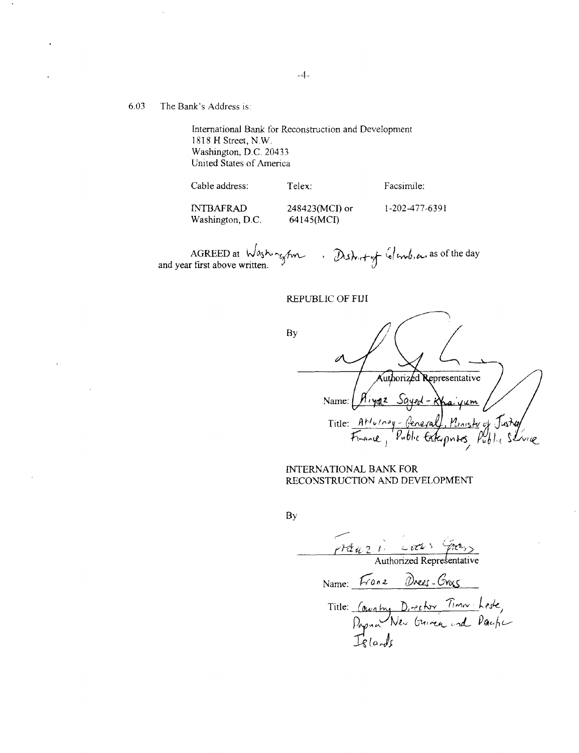# **6.03** The Bank's Address is:

International Bank for Reconstruction and Development **1818** H Street, N.W. Washington, **D.C.** 20433 United States of America

| Cable address:   | Telex:           | Facsimile:     |
|------------------|------------------|----------------|
| <b>INTBAFRAD</b> | $248423(MCI)$ or | 1-202-477-6391 |
| Washington, D.C. | 64145(MCI)       |                |

. District of Colembia, as of the day AGREED at  $\sqrt{a_3b_1}$   $\sqrt{m_1}$ <br>and year first above written.

REPUBLIC OF **FIJI**

**By** Authorized Representative Name: *Aiyaz Sayed - Khaiyum* Title: Attuing-General, Ministy of  $F_{\text{name}}$ Public Exterprises  $\widetilde{P}_{u}^{U}h$ ivik

**INTERNATIONAL** BANK FOR **RECONSTRUCTION AND DEVELOPMENT**

**By**

 $\sqrt{12}u^2 + \frac{2u^2}{2}$ <br>Authorized Representative Name: *Franz* Drees-Gros  $T$ itle: *Coughy D, rector lim* **-A)z,** *6L1.-*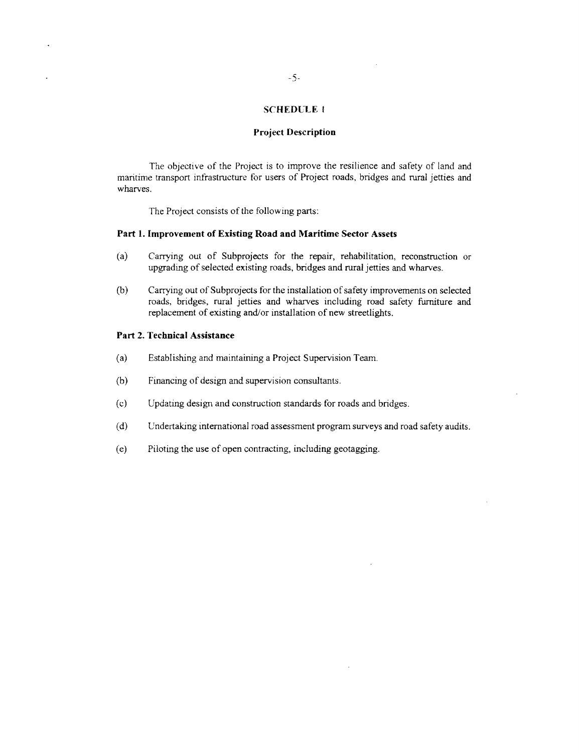## **SCHEDULEI**

#### **Project Description**

The objective of the Project is to improve the resilience and safety of land and maritime transport infrastructure for users of Project roads, bridges and rural jetties and wharves.

The Project consists of the following parts:

## **Part 1. Improvement of Existing Road and Maritime Sector Assets**

- **(a)** Carrying out of Subprojects for the repair, rehabilitation, reconstruction or upgrading of selected existing roads, bridges and rural jetties and wharves.
- (b) Carrying out of Subprojects for the installation of safety improvements on selected roads, bridges, rural jetties and wharves including road safety furniture and replacement of existing and/or installation of new stree

## **Part** 2. **Technical Assistance**

- (a) Establishing and maintaining a Project Supervision Team.
- **(b)** Financing of design and supervision consultants.
- **(c)** Updating design and construction standards. for roads and bridges.
- **(d)** Undertaking international road assessment program surveys and road safety audits.
- (e) Piloting the use of open contracting, including geotagging.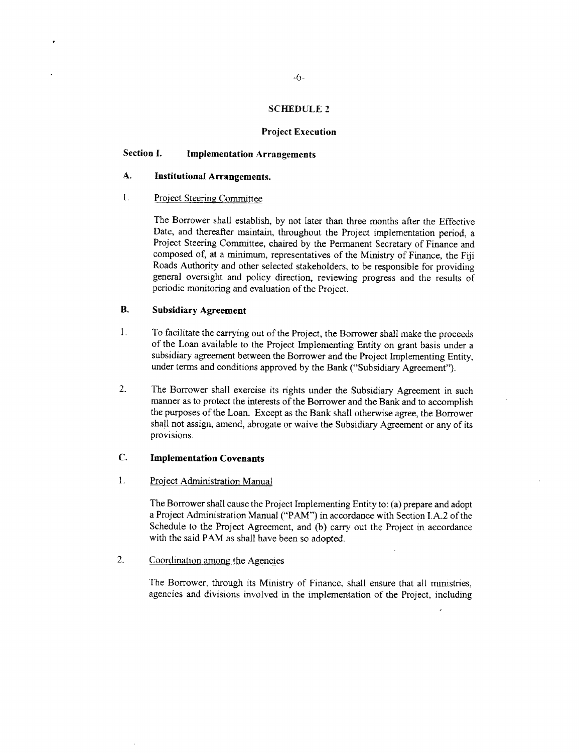#### **SCHEDULE 2**

#### **Project Execution**

# **Section 1. Implementation Arrangements**

# **A. Institutional Arrangements.**

1. Project Steering Committee

The Borrower shall establish, **by** not later than three months after the Effective Date, and thereafter maintain, throughout the Project implementation period, a Project Steering Committee, chaired **by** the Permanent Secretary of Finance and composed of, at a minimum, representatives of the Ministry of Finance, the **Fiji** Roads Authority and other selected stakeholders, to be responsible for providing general oversight and policy direction, reviewing progress and the results of periodic monitoring and evaluation of the Project.

# B. Subsidiary **Agreement**

- 1. To facilitate the carrying out of the Project, the Borrower shall make the proceeds of the Loan available to the Project Implementing Entity on grant basis under a subsidiary agreement between the Borrower and the Project Implementing Entity, under terms and conditions approved **by** the Bank ("Subsidiary Agreement").
- 2. The Borrower shall exercise its rights under the Subsidiary Agreement in such manner as to protect the interests of the Borrower and the Bank and to accomplish the purposes of the Loan. Except as the Bank shall otherwise agree, the Borrower shall not assign, amend, abrogate or waive the Subsidiary Agreement or any of its provisions.

# **C. Implementation Covenants**

# 1. Project Administration Manual

The Borrower shall cause the Project Implementing Entity to: (a) prepare and adopt a Project Administration Manual ("PAM") in accordance with Section **I.A.2** of the Schedule to the Project Agreement, and **(b)** carry out the Project in accordance with the said PAM as shall have been so adopted.

2. Coordination among the Agencies

The Borrower, through its Ministry of Finance, shall ensure that all ministries, agencies and divisions involved in the implementation of the Project, including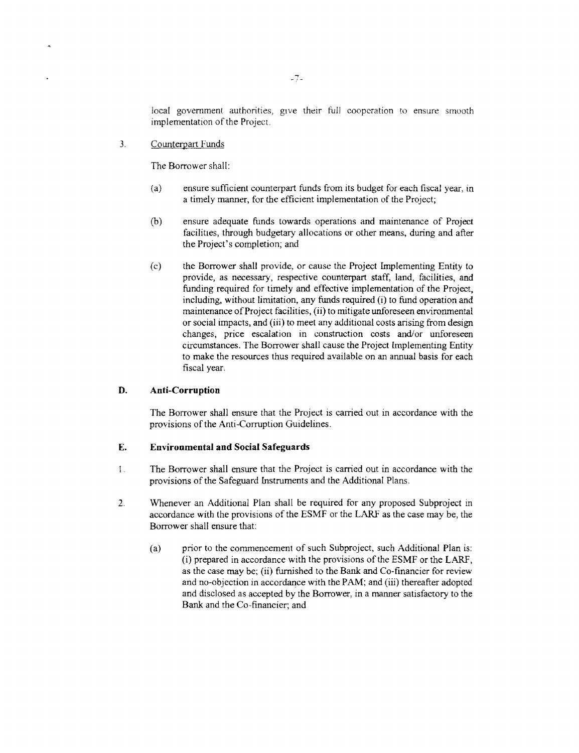local government authorities, give their full cooperation to ensure smooth implementation of the Project.

**3.** Counterpart Funds

The Borrower shall:

- (a) ensure sufficient counterpart funds from its budget *for* each fiscal year, in a timely manner, for the efficient implementation of the Project;
- **(b)** ensure adequate funds towards operations and maintenance of Project facilities, through budgetary allocations or other means, during and after the Project's completion; and
- **(c)** the Borrower shall provide, or cause the Project Implementing Entity to provide, as necessary, respective counterpart staff, land, facilities, and including, without limitation, any funds required (i) to fund operation and maintenance of Project facilities, (ii) to mitigate unforeseen environmental or social impacts, and (iii) to meet any additional costs arising from design changes, price escalation in construction costs and/or unforeseen circumstances. The Borrower shall cause the Project Implementing Entity to make the resources thus required available on an annual basis for each fiscal year.

# **D. Anti-Corruption**

The Borrower shall ensure that the Project is carried out in accordance with the provisions of the Anti-Corruption Guidelines.

# **E. Environmental and Social Safeguards**

- <sup>1</sup>**.** The Borrower shall ensure that the Project is carried out in accordance with the provisions of the Safeguard Instruments and the Additional Plans.
- 2. Whenever an Additional Plan shall be required for any proposed Subproject in accordance with the provisions of the **ESMF** or the LARF as the case may be, the Borrower shall ensure that:
	- (a) prior to the commencement of such Subproject, such Additional Plan is: (i) prepared in accordance with the provisions of the **ESMF** or the LARF, as the case may be; (ii) furnished to the Bank and Co-financier for review and no-objection in accordance with the PAM; and (iii) thereafter adopted and disclosed as accepted **by** the Borrower, in a manner satisfactory to the Bank and the Co-financier; and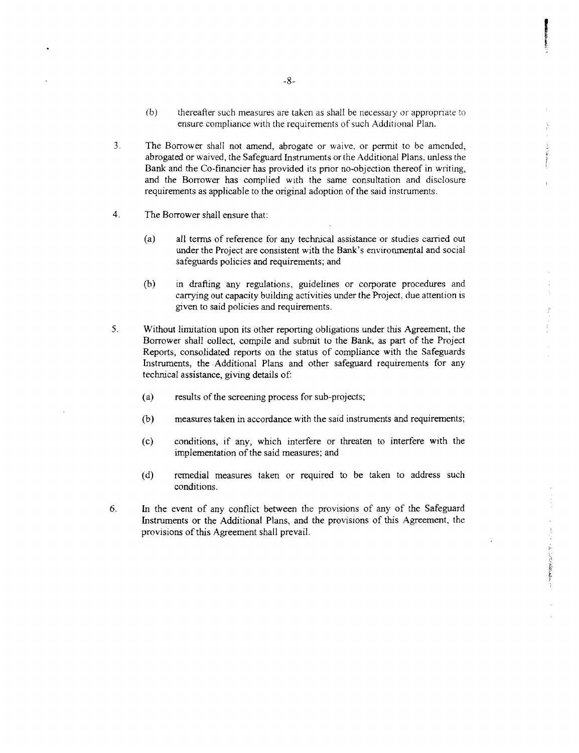- **(b)** thereafter such measures are taken as shall be necessary or appropriate to ensure compliance with the requirements of such Additional Plan.
- 3. The Borrower shall not amend, abrogate or waive, or permit to be amended, abrogated or waived, the Safeguard Instruments or the Additional Plans, unless the Bank and the Co-financier has provided its prior no-objection
- 4. The Borrower shall ensure that:
	- (a) all terms of reference for any technical assistance or studies carried out under the Project are consistent with the Bank's environmental and social safeguards policies and requirements; and
	- **(b)** in drafting any regulations, guidelines or corporate procedures and carrying out capacity buildmg activities under the Project, due attention is given to said policies and requirements.
- 5. Without limitation upon its other reporting obligations under this Agreement, the Borrower shall collect, compile and submit to the Bank, as part of the Project Reports, consolidated reports on the status of compliance
	- (a) results of the screening process for sub-projects;
	- **(b)** measures taken in accordance with the said instruments and requirements;
	- **(c)** conditions, if any, which interfere or threaten to interfere with the implementation of the said measures; and
	- **(d)** remedial measures taken or required to be taken to address such conditions.

美俚人名英格兰人姓氏卡尔的变体

**6.** In the event of any conflict between the provisions of any of the Safeguard Instruments or the Additional Plans, and the provisions of this Agreement, the provisions of this Agreement shall prevail.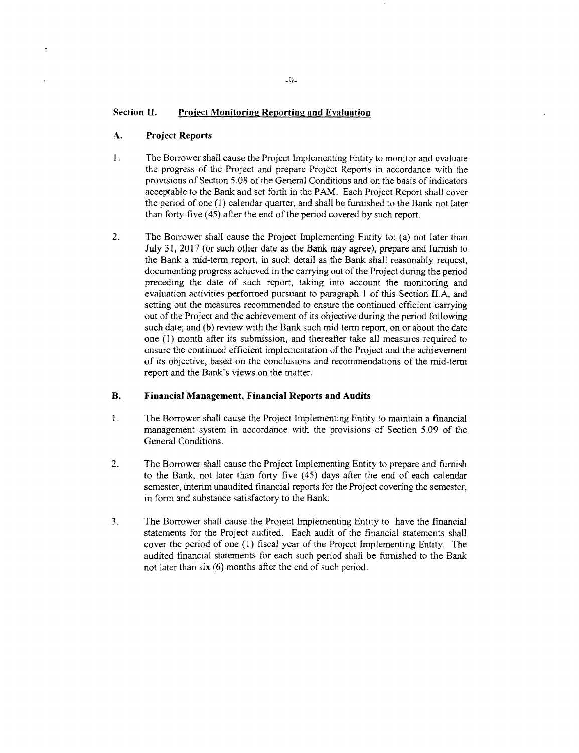## **Section II.** Project Monitoring Reporting and Evaluation

## **A. Project Reports**

- 1. The Borrower shall cause the Project Implementing Entity to monitor and evaluate the progress of the Project and prepare Project Reports in accordance with the provisions of Section 5.08 of the General Conditions and on the basis of indicators acceptable to the Bank and set forth in the PAM. Each Project Report shall cover<br>the period of one (1) calendar quarter, and shall be furnished to the Bank not later<br>than forty-five (45) after the end of the period covered
- 2. The Borrower shall cause the Project Implementing Entity to: (a) not later than July 31, 2017 (or such other date as the Bank may agree), prepare and furnish to the Bank a mid-term report, in such detail as the Bank sha .<br>:etting. evaluation activities performed pursuant to paragraph 1 of this Section II.A, and<br>setting out the measures recommended to ensure the continued efficient carrying<br>out of the Project and the achievement of its objective duri report and the Bank's views on the matter. ensure the continued efficient implementation of the Project and the achievement of its objective, based on the conclusions and recommendations of the mid-term

## B. **Financial Management, Financial Reports and Audits**

- 1 **1** The Borrower shall cause the Project Implementing Entity to maintain a financial management system in accordance with the provisions of Section 5.09 of the General Conditions. General Conditions.
- 2. The Borrower shall cause the Project Implementing Entity to prepare and furnish<br>to the Bank, not later than forty five (45) days after the end of each calendar<br>semester, interim unaudited financial reports for the Proje
- 3. The Borrower shall cause the Project Implementing Entity to have the financial statements for the Project audited. Each audit of the financial statements shall cover the period of one (1) fiscal year of the Project Impl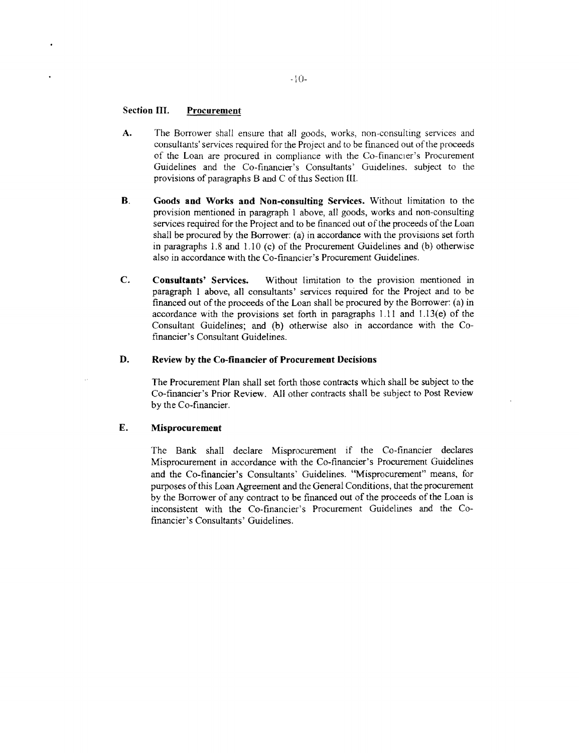# **Section III.** Procurement

- **A.** The Borrower shall ensure that all goods, works, non-consulting services and consultants' services required for the Project and to be financed out of the proceeds of the Loan are procured in compliance with the Co-financier's Procurement Guidelines and the Co-financier's Consultants' Guidelines, subject to the provisions of paragraphs B and **C** of tus Section **Il.**
- B. **Goods and Works and Non-consulting** Services. Without limitation to the provision mentioned in paragraph **I** above, all goods, works and non-consulting services required for the Project and to be financed out of the proceeds of the Loan shall be procured **by** the Borrower: (a) in accordance with the provisions set forth in paragraphs **1.8** and 1 **10** (c) of the Procurement Guidelines and **(b)** otherwise also in accordance with the Co-financier's Procurement Guidelines.
- **C. Consultants'** Services. Without limitation to the provision mentioned in paragraph **I** above, all consultants' services required for the Project and to be financed out of the proceeds of the Loan shall be procured **by** the Borrower: (a) in accordance with the provisions set forth in paragraphs **1.11** and **1.13(e)** of the Consultant Guidelines; and **(b)** otherwise also in accordance with the Cofinancier's Consultant Guidelines.

# **D. Review by the Co-financier of Procurement Decisions**

The Procurement Plan shall set forth those contracts which shall be subject to the Co-financier's Prior Review. **All** other contracts shall be subject to Post Review **by** the Co-financier.

## **E. Misprocurement**

The Bank shall declare Misprocurement if the Co-financier declares Misprocurement in accordance with the Co-financier's Procurement Guidelines and the Co-financier's Consultants' Guidelines. "Misprocurement" means, for purposes of this Loan Agreement and the General Conditions, that the procurement **by** the Borrower of any contract to be financed out of the proceeds of the Loan is inconsistent with the Co-financier's Procurement Guidelines and the Cofinancier's Consultants' Guidelines.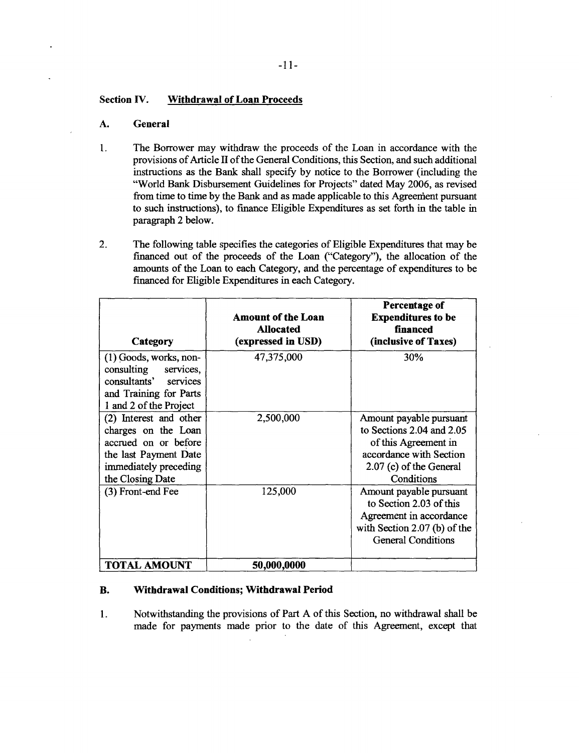# **Section IV. Withdrawal of Loan Proceeds**

# **A. General**

- 1. The Borrower may withdraw the proceeds of the Loan in accordance with the provisions of Article II of the General Conditions, this Section, and such additional instructions as the Bank shall specify **by** notice to the Borrower (including the "World Bank Disbursement Guidelines for Projects" dated May **2006,** as revised from time to time by the Bank and as made applicable to this Agreenient pursuant to such instructions), to finance Eligible Expenditures as set forth in the table in paragraph 2 below.
- 2. The following table specifies the categories of Eligible Expenditures that may be financed out of the proceeds of the Loan ("Category"), the allocation of the amounts of the Loan to each Category, and the percentage of expenditures to be financed for Eligible Expenditures in each Category.

| Category                                                                                                                                    | <b>Amount of the Loan</b><br><b>Allocated</b><br>(expressed in USD) | Percentage of<br><b>Expenditures to be</b><br>financed<br>(inclusive of Taxes)                                                                   |
|---------------------------------------------------------------------------------------------------------------------------------------------|---------------------------------------------------------------------|--------------------------------------------------------------------------------------------------------------------------------------------------|
| $(1)$ Goods, works, non-<br>consulting services,<br>consultants' services<br>and Training for Parts<br>1 and 2 of the Project               | 47,375,000                                                          | 30%                                                                                                                                              |
| (2) Interest and other<br>charges on the Loan<br>accrued on or before<br>the last Payment Date<br>immediately preceding<br>the Closing Date | 2,500,000                                                           | Amount payable pursuant<br>to Sections 2.04 and 2.05<br>of this Agreement in<br>accordance with Section<br>2.07 (c) of the General<br>Conditions |
| (3) Front-end Fee                                                                                                                           | 125,000                                                             | Amount payable pursuant<br>to Section 2.03 of this<br>Agreement in accordance<br>with Section $2.07$ (b) of the<br><b>General Conditions</b>     |
| <b>TOTAL AMOUNT</b>                                                                                                                         | 50,000,0000                                                         |                                                                                                                                                  |

# **B. Withdrawal Conditions; Withdrawal Period**

**1.** Notwithstanding the provisions of Part **A** of this Section, no withdrawal shall be made for payments made prior to the date of this Agreement, except that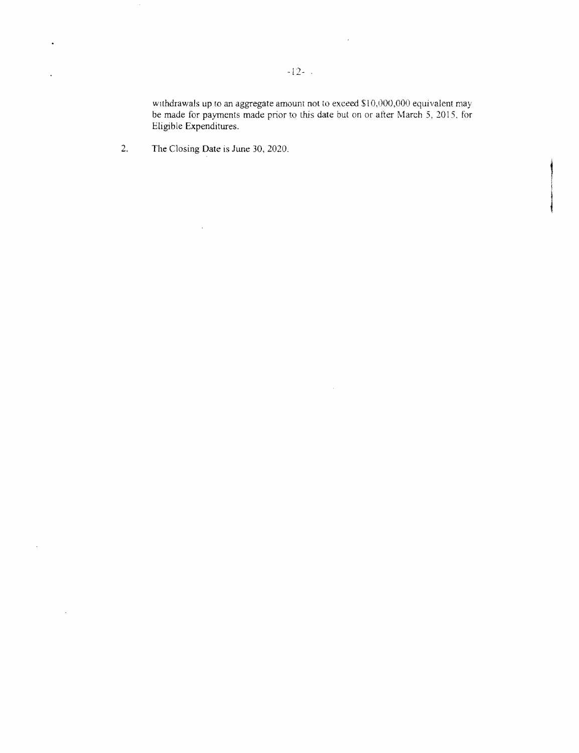withdrawals up to an aggregate amount not to exceed **\$10,000,000** equivalent may be made for payments made prior to this date but on or after March **5, 2015,** *for* Eligible Expenditures.

 $\sim$ 

 $\bar{\star}$ 

2. The Closing Date is June **30,** 2020.

 $\sim$ 

 $\bar{z}$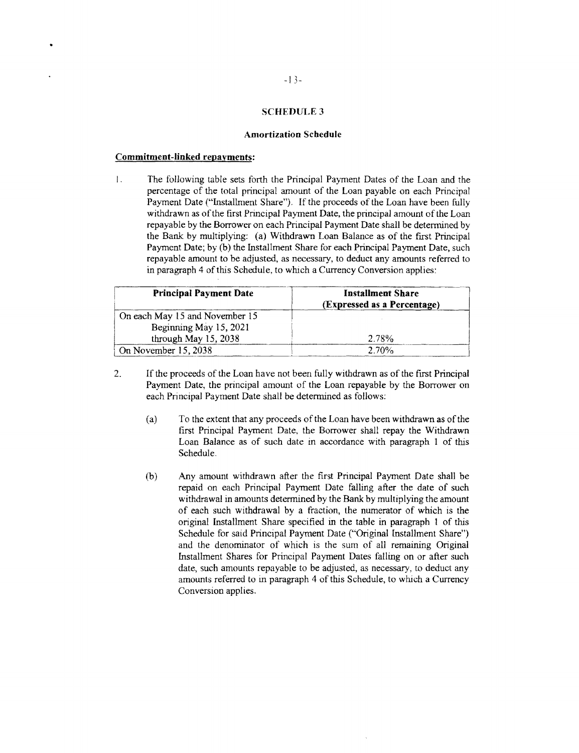## **SCHEDULE 3**

#### **Amortization Schedule**

## **Commitment-linked repayments:**

1. The following table sets forth the Principal Payment Dates of the Loan and the percentage of the total principal amount of the Loan payable on each Principal Payment Date ("Installment Share"). If the proceeds of the Loan have been fully withdrawn as of the first Principal Payment Date, the principal amount of the Loan repayable by the Borrower on each Principal Payment Date sh the Bank by multiplying: (a) Withdrawn Loan Balance as of the first Principal<br>Payment Date; by (b) the Installment Share for each Principal Payment Date, such repayable amount to be adjusted, as necessary, to deduct any amounts referred to in paragraph 4 of this Schedule, to which a Currency Conversion applies:

| <b>Principal Payment Date</b>  | <b>Installment Share</b><br>(Expressed as a Percentage) |
|--------------------------------|---------------------------------------------------------|
| On each May 15 and November 15 |                                                         |
| Beginning May 15, 2021         |                                                         |
| through May 15, 2038           | 2.78%                                                   |
| On November 15, 2038           | 2.70%                                                   |

- 2. **If** the proceeds of the Loan have not been fully withdrawn as of the first Principal Payment Date, the principal amount of the Loan repayable **by** the Borrower on each Principal Payment Date shall be determined as follows:
	- (a) To the extent that any proceeds of the Loan have been withdrawn as of the first Principal Payment Date, the Borrower shall repay the Withdrawn Loan Balance as of such date in accordance with paragraph **I** of this Schedule.
	- **(b)** Any amount withdrawn after the first Principal Payment Date shall be repaid on each Principal Payment Date falling after the date of such withdrawal in amounts determined **by** the Bank **by** multiplying the amount of each such withdrawal **by** a fraction, the numerator of which is the original Installment Share specified in the table in paragraph **I** of this Schedule for said Principal Payment Date ("Original Installment Share") and the denominator of which is the sum of all remaining Original Installment Shares for Principal Payment Dates falling on or after such date, such amounts repayable to be adjusted, as necessary, to deduct any amounts referred to in paragraph 4 of this Schedule, to which a Currency Conversion applies.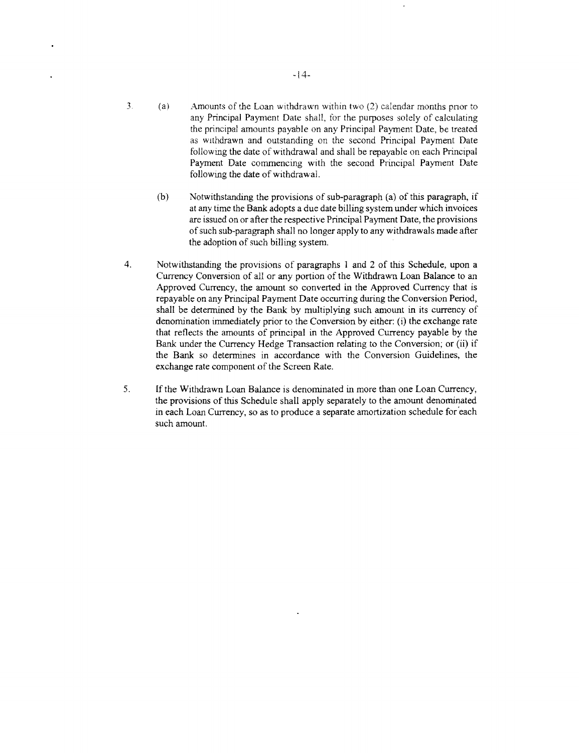- **3.** (a) Amounts of the Loan withdrawn within two (2) calendar months pnor to any Principal Payment Date shall, for the purposes solely of calculating the principal amounts payable on any Principal Payment Date, be treated as withdrawn and outstanding on the second Principal Payment Date following the date of withdrawal and shall be repayable on each Principal Payment Date commencing with the second Principal Payment Date following the date of withdrawal.
	- **(b)** Notwithstanding the provisions of sub-paragraph (a) of this paragraph, if at any time the **Bank** adopts a due date billing system under which invoices are issued on or after the respective Principal Payment Date, the provisions of such sub-paragraph shall no longer apply to any withdrawals made after the adoption of such billing system.
- 4. Notwithstanding the provisions of paragraphs **I** and 2 of this Schedule, upon a Currency Conversion of all or any portion of the Withdrawn Loan Balance to an Approved Currency, the amount so converted in the Approved Currency that is repayable on any Principal Payment Date occurring during the Conversion Period, shall be determined **by** the Bank **by** multiplying such amount in its currency of denomination immediately prior to the Conversion **by** either: (i) the exchange rate that reflects the amounts of principal in the Approved Currency payable **by** the Bank under the Currency Hedge Transaction relating to the Conversion; or (ii) **if** the Bank so determines in accordance with the Conversion Guidelines, the exchange rate component of the Screen Rate.
- **5. If** the Withdrawn Loan Balance is denominated in more than one Loan Currency, the provisions of this Schedule shall apply separately to the amount denominated in each Loan Currency, so as to produce a separate amortization schedule for each such amount.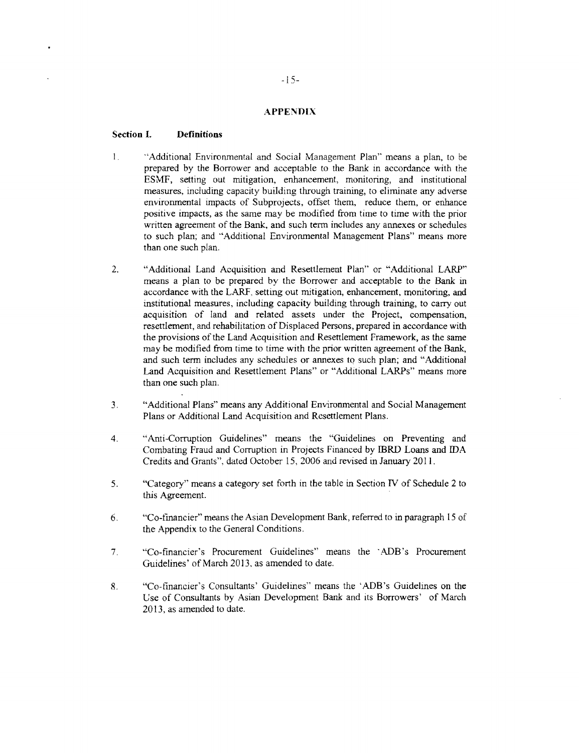## **APPENDIX**

#### **Section . Definitions**

- 1. "Additional Environmental and Social Management Plan" means a plan, to be prepared by the Borrower and acceptable to the Bank in accordance with the ESMF, setting out mitigation, enhancement, monitoring, and institution measures, including capacity building through training, to eliminate any adverse<br>environmental impacts of Subprojects, offset them, reduce them, or enhance<br>positive impacts, as the same may be modified from time to time wi to such plan; and "Additional Environmental Management Plans" means more than one such plan.
- <sup>2</sup>. "Additional Land Acquisition and Resettlement Plan" or "Additional LARP"<br>means a plan to be prepared by the Borrower and acceptable to the Bank in<br>accordance with the LARF, setting out mitigation, enhancement, monitor Land Acquisition and Resettlement Plans" or "Additional LARPs" means more than one such plan.
- *3.* "Additional Plans" means any Additional Environmental and Social Management Plans or Additional Land Acquisition and Resettlement Plans.
- 4. "Anti-Corruption Guidelines" means the "Guidelines on Preventing and Combating Fraud and Corruption in Projects Financed by IBRD Loans and IDA Credits and Grants", dated October 15, 2006 and revised in January 2011.
- *5.* "Category" means a category set forth in the table in Section IV of Schedule 2 to this Agreement.
- **6.** "Co-financier" means the Asian Development Bank, referred to in paragraph **15** of the Appendix to the General Conditions.
- *7.* "Co-financier's Procurement Guidelines" means the 'ADB's Procurement Guidelines' of March **2013,** as amended to date.
- **8.** "Co-financier's Consultants' Guidelines" means the 'ADB's Guidelines on the Use of Consultants **by** Asian Development Bank and its Borrowers' of March **2013,** as amended to date.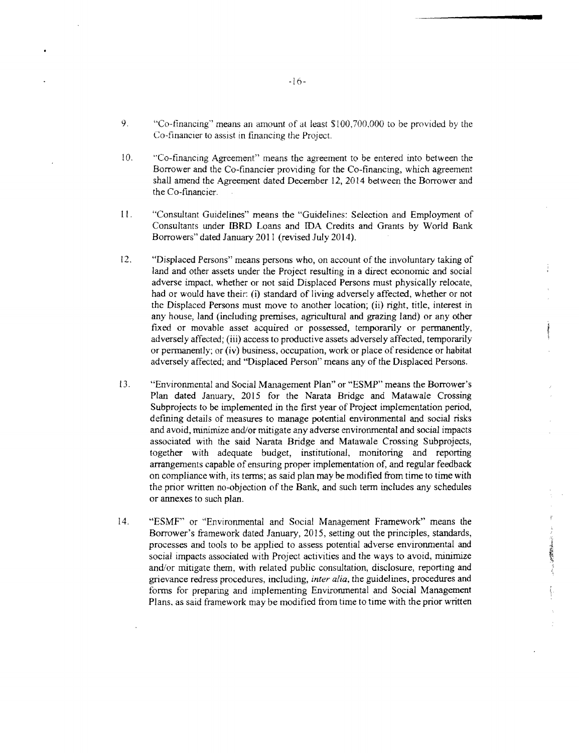- **9.** "Co-financing" means an amount of at least **S 100,700,000** Co-financier to be provided **by** the to assist in financing the Project.
- <sup>10.</sup> <sup>"Co-financing Agreement" means the agreement to be entered into between the Borrower and the Co-financier providing for the Co-financing, which agreement</sup> the Co-financier. shall amend the Agreement dated December 12, 2014 between the Borrower and
- **I1.**  Consultants under **IBRD** Loans and **IDA** Credits and Grants by World Bank dorrowers'' dated January 2011 (revised July 2014). "Consultant Guidelines" means the "Guidelines: Selection and Employment of Borrowers" dated January 2011 (revised July 2014).
- 12. "Displaced Persons" means persons who, on account of the involuntary taking of land and other assets under the Project resulting in a direct economic and social adverse i and and other assets under the Project resulting in a direct economic and social idverse impact, whether or not said Displaced Persons must physically relocate, and or would have their: (i) standard of living adversely aff the Displaced Persons must move to another location; (ii) right, title, interest in<br>the Displaced Persons must move to another location; (ii) right, title, interest in had or would have their: (i) standard of living adversely affected, whether or not any house, land (including premises, agricultural and grazing land) or any other fixed or movable asset acquired or possessed, temporarily or permanently, adversely affected (iii) access to productive assets adversely affe fixed or movable asset acquired or possessed, temporarily or permanently, or permanently; or (iv) business, occupation, work or place of residence or habitat affected, and "Displaced Person" means any of the Displaced Persons. adversely affected; (iii) access to productive assets adversely affected, temporarily adversely affected; and "Displaced Person" means any of the Displaced Persons.
- **13.** "Environmental and Social Management Plan" or **"ESMP"** means the Borrower's Plan dated January, 2015 for the Narata Bridge and Matawale Crossing Subprojects to be implemented in the first vear of Project implementation period Subprojects to be implemented in the first year of Project implementation period, defining details of measures to manage potential environmental and social risks defining details of measures to manage potential environmental and social risks and avoid, minimize and/or mitigate any adverse environmental and social impacts associated with and avoid, minimize and/or mitigate any adverse environmental and social impact associated with the said Narata Bridge and Matawale Crossing Subprojects together with adequate budget, institutional, monitoring and reportin together with adequate budget, institutional, monitoring and reporting on compliance with, its terms; as said plan may be modified from time to time with arrangements capable of ensuring proper implementation of, and regular feedback the prior written no-objection of the Bank, and such term includes any schedule<br>or annexes to such plan. or annexes to such plan.
- 14. **"ESMF"** or "Environmental and Social Management Framework" means the process of the process of the process of the process of the process of the process of the process of the process of the process of the process of th Borrower's framework dated January, 2015, setting out the principles, standard processes and tools to be applied to assess potential adverse environmental are social impacts associated with Project activities and the ways to avoid, minimize and/or mitigate them, with related public consultation, disc social impacts associated with Project activities and the ways to avoid, minimize grievance redress procedures, including, *inter alia*, the guidelines, procedures and and/or mitigate them, with related public consultation, disclosure, reporting and forms for preparing and implementing Environmental and Social Management Plans, as said framework may be modified from time to time with the prior written

ミノ 化学機能機能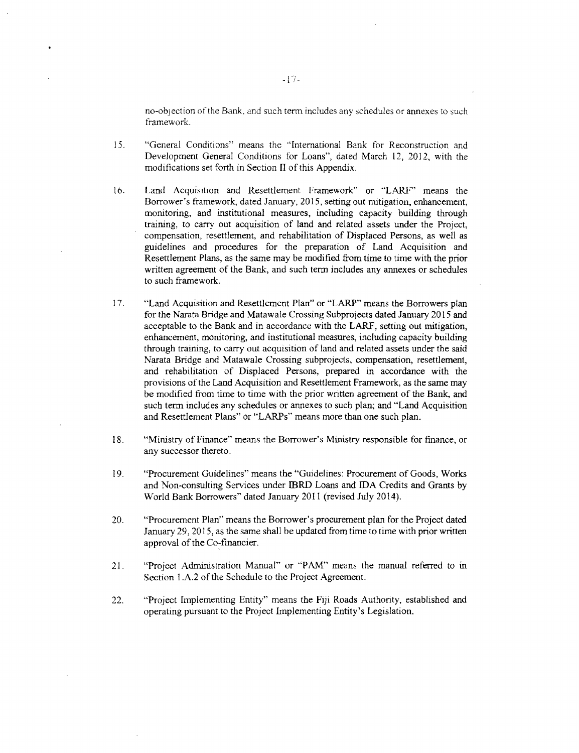no-objection of the Bank, and such term includes any schedules or annexes to such framework.

- *15.* "General Conditions" means the "International Bank for Reconstruction and Development General Conditions for Loans", dated March 12, 2012, with the modifications set forth in Section II of this Appendix.
- 16. Land Acquisition and Resettlement Framework" or "LARF" means the Borrower's framework, dated January, 2015, setting out mitigation, enhancement, monitoring, and institutional measures, including capacity building throu to such framework.
- <sup>7</sup>. "Land Acquisition and Resettlement Plan" or "LARP" means the Borrowers plan<br>for the Narata Bridge and Matawale Crossing Subprojects dated January 2015 and<br>acceptable to the Bank and in accordance with the LARF, settin
- **18.** "Ministry of Finance" means the Borrower's Ministry responsible for finance, or any successor thereto.
- <sup>19</sup>. "Procurement Guidelines" means the "Guidelines: Procurement of Goods, Works<br>and Non-consulting Services under IBRD Loans and IDA Credits and Grants by<br>World Bank Borrowers" dated January 2011 (revised July 2014).
- 20. "Procurement Plan" means the Borrower's procurement plan for the Project dated January **29, 2015,** as the same shall be updated from time to time with prior written approval of the Co-financier.
- 21. "Project Administration Manual" or "PAM" means the manual referred to in Section **1.A.2** of the Schedule to the Project Agreement.
- 22. "Project Implementing Entity" means the **Fiji** Roads Authority, established and operating pursuant to the Project Implementing Entity's Legislation.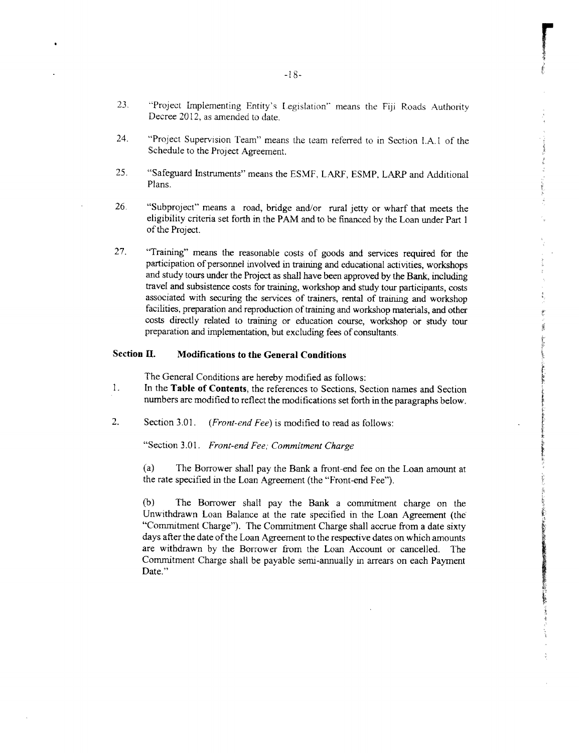- **21** "Project Implementing Entity's legislation" means the **Fiji** Roads Authority Decree **2012,** as amended to date.
- 24. "Project Supervision Team" means the team referred to in Section **I.A.1** of the Schedule to the Project Agreement.
- **25.** "Safeguard Instruments" means the **ESMF,** LARF, **ESMP,** LARP and Additional Plans.
- **26.** "Subproject" means a road, bridge and/or rural jetty or wharf that meets the eligibility criteria set forth in the **PAM** and to be financed **by** the Loan under Part 1 of the Project.
- **27.** "Training" means the reasonable costs of goods and services required for the participation of personnel involved in training and educational activities, workshops and study tours under the Project as shall have been approved **by** the Bank, including travel and subsistence costs for training, workshop and study tour participants, costs associated with securing the services of trainers, rental of training and workshop facilities, preparation and reproduction of training and workshop materials, and other costs directly related to training or education course, workshop or study tour preparation and implementation, but excluding fees of consultants.

#### **Section H. Modifications to the General Conditions**

The General Conditions are hereby modified as follows:

- $\mathbf{1}$ . In the **Table of Contents,** the references to Sections, Section names and Section numbers are modified to reflect the modifications set forth in the paragraphs below.
- 2. Section **3.01.** *(Front-end Fee)* is modified to read as follows:

"Section 3.01. *Front-end Fee; Commitment Charge*

(a) The Borrower shall pay the Bank a front-end fee on the Loan amount at the rate specified in the Loan Agreement (the "Front-end Fee").

**(b)** The Borrower shall pay the Bank a commitment charge on the Unwithdrawn Loan Balance at the rate specified in the Loan Agreement (the "Commitment Charge"). The Commitment Charge shall accrue from a date sixty days after the date of the Loan Agreement to the respective dates on which amounts are withdrawn **by** the Borrower from the Loan Account or cancelled. The Commitment Charge shall be payable semi-annually in arrears on each Payment Date."